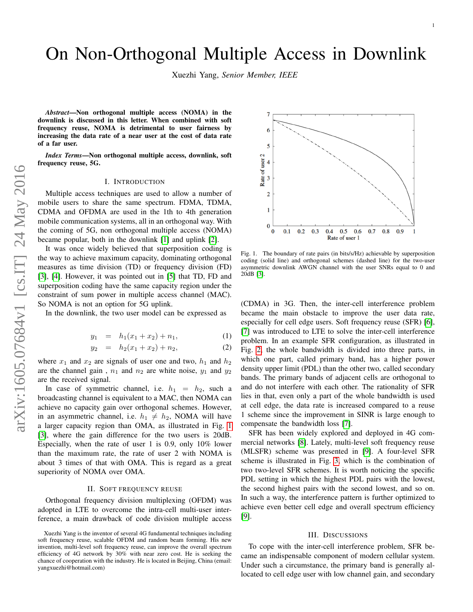# On Non-Orthogonal Multiple Access in Downlink

Xuezhi Yang, *Senior Member, IEEE*

*Abstract*—Non orthogonal multiple access (NOMA) in the downlink is discussed in this letter. When combined with soft frequency reuse, NOMA is detrimental to user fairness by increasing the data rate of a near user at the cost of data rate of a far user.

*Index Terms*—Non orthogonal multiple access, downlink, soft frequency reuse, 5G.

## I. INTRODUCTION

Multiple access techniques are used to allow a number of mobile users to share the same spectrum. FDMA, TDMA, CDMA and OFDMA are used in the 1th to 4th generation mobile communication systems, all in an orthogonal way. With the coming of 5G, non orthogonal multiple access (NOMA) became popular, both in the downlink [\[1\]](#page-1-0) and uplink [\[2\]](#page-1-1).

It was once widely believed that superposition coding is the way to achieve maximum capacity, dominating orthogonal measures as time division (TD) or frequency division (FD) [\[3\]](#page-1-2), [\[4\]](#page-1-3). However, it was pointed out in [\[5\]](#page-1-4) that TD, FD and superposition coding have the same capacity region under the constraint of sum power in multiple access channel (MAC). So NOMA is not an option for 5G uplink.

In the downlink, the two user model can be expressed as

$$
y_1 = h_1(x_1 + x_2) + n_1, \tag{1}
$$

$$
y_2 = h_2(x_1 + x_2) + n_2, \tag{2}
$$

where  $x_1$  and  $x_2$  are signals of user one and two,  $h_1$  and  $h_2$ are the channel gain,  $n_1$  and  $n_2$  are white noise,  $y_1$  and  $y_2$ are the received signal.

In case of symmetric channel, i.e.  $h_1 = h_2$ , such a broadcasting channel is equivalent to a MAC, then NOMA can achieve no capacity gain over orthogonal schemes. However, in an asymmetric channel, i.e.  $h_1 \neq h_2$ , NOMA will have a larger capacity region than OMA, as illustrated in Fig. [1](#page-0-0) [\[3\]](#page-1-2), where the gain difference for the two users is 20dB. Especially, when the rate of user 1 is 0.9, only 10% lower than the maximum rate, the rate of user 2 with NOMA is about 3 times of that with OMA. This is regard as a great superiority of NOMA over OMA.

### II. SOFT FREQUENCY REUSE

Orthogonal frequency division multiplexing (OFDM) was adopted in LTE to overcome the intra-cell multi-user interference, a main drawback of code division multiple access



<span id="page-0-0"></span>Fig. 1. The boundary of rate pairs (in bits/s/Hz) achievable by superposition coding (solid line) and orthogonal schemes (dashed line) for the two-user asymmetric downlink AWGN channel with the user SNRs equal to 0 and 20dB [\[3\]](#page-1-2).

(CDMA) in 3G. Then, the inter-cell interference problem became the main obstacle to improve the user data rate, especially for cell edge users. Soft frequency reuse (SFR) [\[6\]](#page-1-5), [\[7\]](#page-1-6) was introduced to LTE to solve the inter-cell interference problem. In an example SFR configuration, as illustrated in Fig. [2,](#page-1-7) the whole bandwidth is divided into three parts, in which one part, called primary band, has a higher power density upper limit (PDL) than the other two, called secondary bands. The primary bands of adjacent cells are orthogonal to and do not interfere with each other. The rationality of SFR lies in that, even only a part of the whole bandwidth is used at cell edge, the data rate is increased compared to a reuse 1 scheme since the improvement in SINR is large enough to compensate the bandwidth loss [\[7\]](#page-1-6).

SFR has been widely explored and deployed in 4G commercial networks [\[8\]](#page-1-8). Lately, multi-level soft frequency reuse (MLSFR) scheme was presented in [\[9\]](#page-1-9). A four-level SFR scheme is illustrated in Fig. [3,](#page-1-10) which is the combination of two two-level SFR schemes. It is worth noticing the specific PDL setting in which the highest PDL pairs with the lowest, the second highest pairs with the second lowest, and so on. In such a way, the interference pattern is further optimized to achieve even better cell edge and overall spectrum efficiency [\[9\]](#page-1-9).

## III. DISCUSSIONS

To cope with the inter-cell interference problem, SFR became an indispensable component of modern cellular system. Under such a circumstance, the primary band is generally allocated to cell edge user with low channel gain, and secondary

Xuezhi Yang is the inventor of several 4G fundamental techniques including soft frequency reuse, scalable OFDM and random beam forming. His new invention, multi-level soft frequency reuse, can improve the overall spectrum efficiency of 4G network by 30% with near zero cost. He is seeking the chance of cooperation with the industry. He is located in Beijing, China (email: yangxuezhi@hotmail.com)